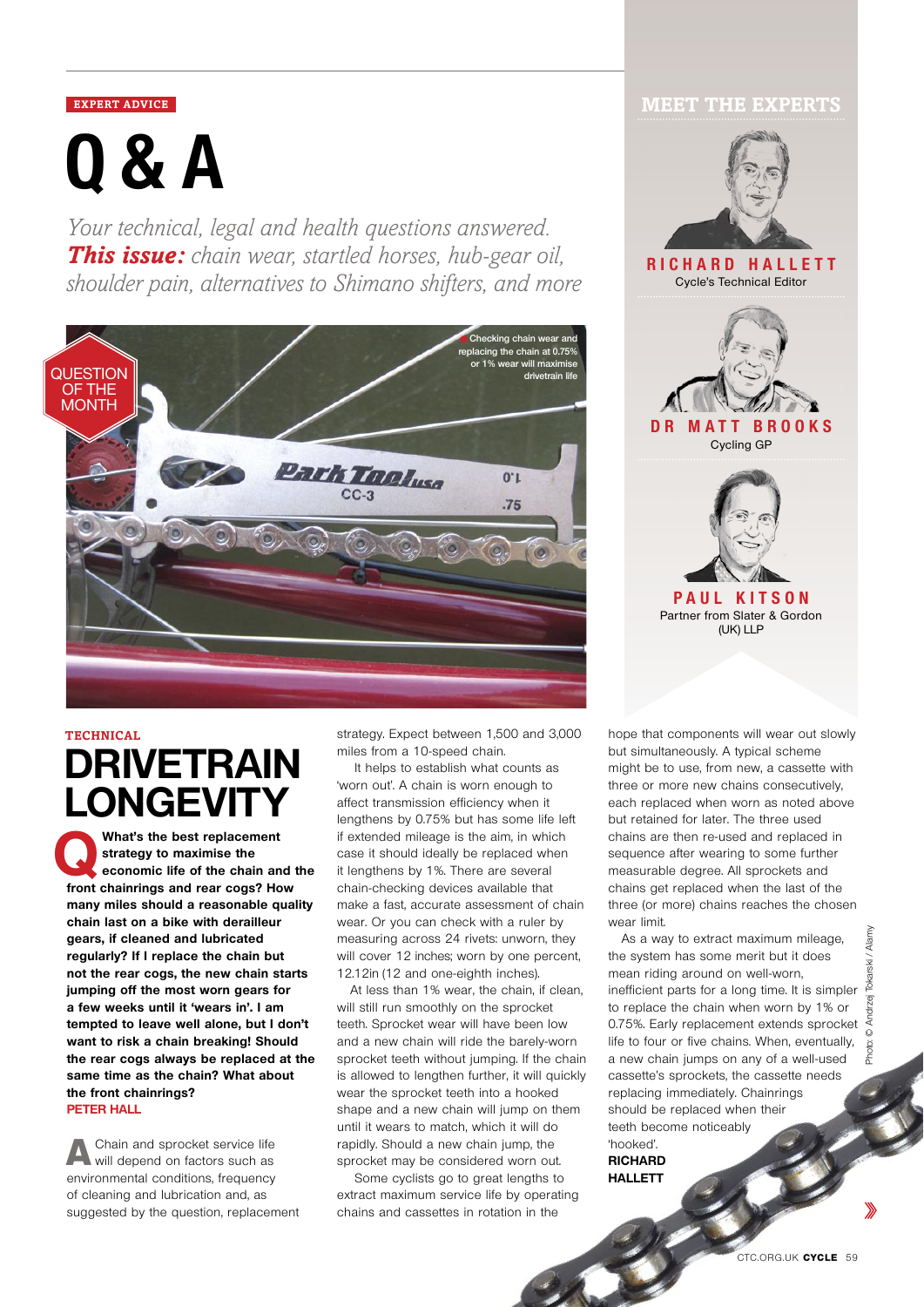# **Q&A**

*Your technical, legal and health questions answered. This issue: chain wear, startled horses, hub-gear oil, shoulder pain, alternatives to Shimano shifters, and more*



# **DRIVETRAIN LONGEVITY**

What's the best replacement<br>
strategy to maximise the<br>
economic life of the chain and the<br> **expansion of the chain and the strategy to maximise the front chainrings and rear cogs? How many miles should a reasonable quality chain last on a bike with derailleur gears, if cleaned and lubricated regularly? If I replace the chain but not the rear cogs, the new chain starts jumping off the most worn gears for a few weeks until it 'wears in'. I am tempted to leave well alone, but I don't want to risk a chain breaking! Should the rear cogs always be replaced at the same time as the chain? What about the front chainrings? Peter Hall**

A Chain and sprocket service life will depend on factors such as environmental conditions, frequency of cleaning and lubrication and, as suggested by the question, replacement

**TECHNICAL hope that components will wear out slowly strategy. Expect between 1,500 and 3,000 hope that components will wear out slowly** miles from a 10-speed chain.

> It helps to establish what counts as 'worn out'. A chain is worn enough to affect transmission efficiency when it lengthens by 0.75% but has some life left if extended mileage is the aim, in which case it should ideally be replaced when it lengthens by 1%. There are several chain-checking devices available that make a fast, accurate assessment of chain wear. Or you can check with a ruler by measuring across 24 rivets: unworn, they will cover 12 inches; worn by one percent, 12.12in (12 and one-eighth inches).

At less than 1% wear, the chain, if clean, will still run smoothly on the sprocket teeth. Sprocket wear will have been low and a new chain will ride the barely-worn sprocket teeth without jumping. If the chain is allowed to lengthen further, it will quickly wear the sprocket teeth into a hooked shape and a new chain will jump on them until it wears to match, which it will do rapidly. Should a new chain jump, the sprocket may be considered worn out.

 Some cyclists go to great lengths to extract maximum service life by operating chains and cassettes in rotation in the

## **EXPERT ADVICE MEET THE EXPERTS**



but simultaneously. A typical scheme might be to use, from new, a cassette with three or more new chains consecutively, each replaced when worn as noted above but retained for later. The three used chains are then re-used and replaced in sequence after wearing to some further measurable degree. All sprockets and chains get replaced when the last of the three (or more) chains reaches the chosen wear limit.

As a way to extract maximum mileage, the system has some merit but it does mean riding around on well-worn, inefficient parts for a long time. It is simpler to replace the chain when worn by 1% or 0.75%. Early replacement extends sprocket life to four or five chains. When, eventually, a new chain jumps on any of a well-used cassette's sprockets, the cassette needs replacing immediately. Chainrings should be replaced when their teeth become noticeably 'hooked'.

**Richard Hallett**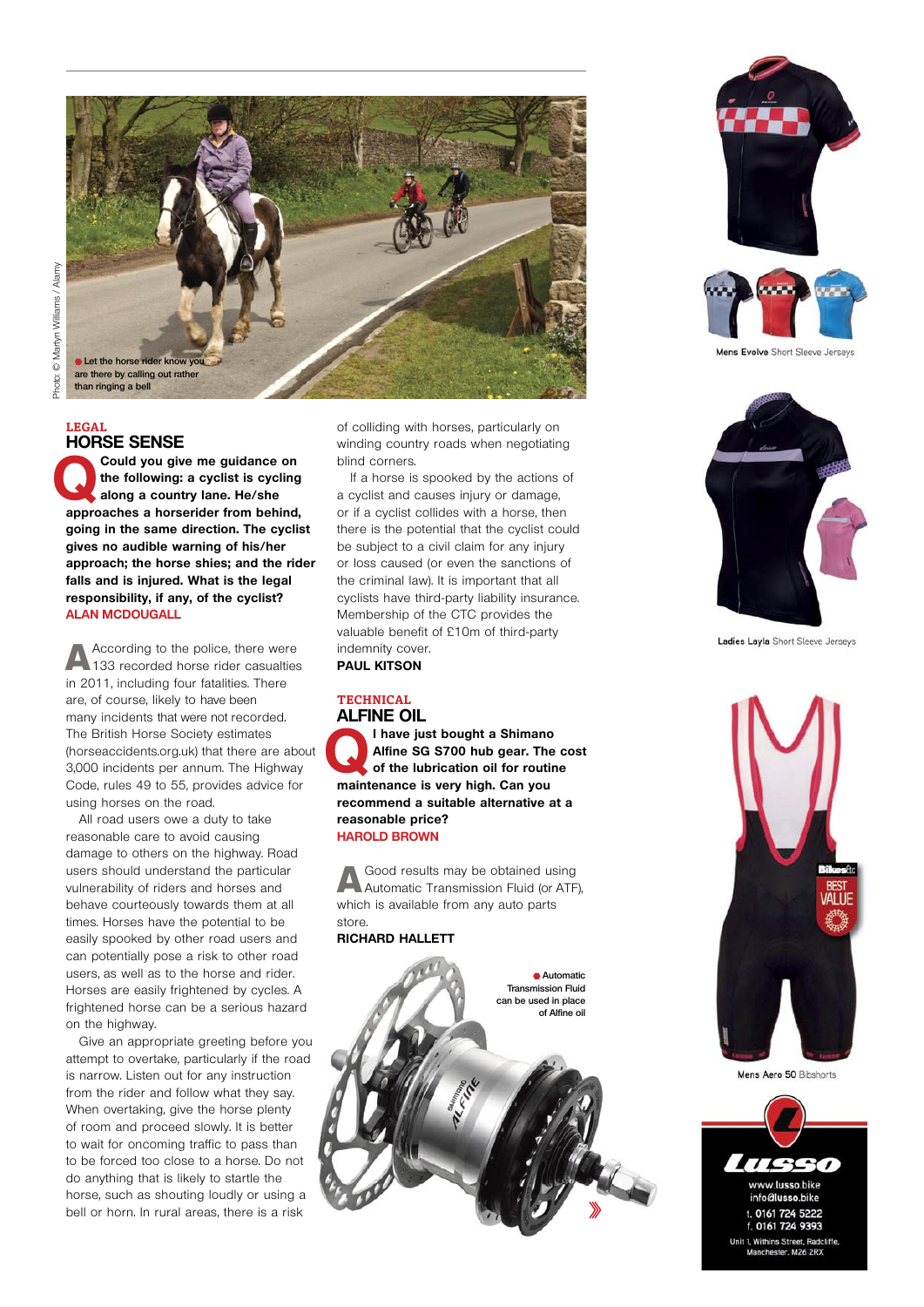

#### **Legal HORSE SENSE**

**Could you give me guidance on the following: a cyclist is cycling along a country lane. He/she the following: a cyclist is cycling along a country lane. He/she approaches a horserider from behind, going in the same direction. The cyclist gives no audible warning of his/her approach; the horse shies; and the rider falls and is injured. What is the legal responsibility, if any, of the cyclist? Alan McDougall**

According to the police, there were 133 recorded horse rider casualties in 2011, including four fatalities. There are, of course, likely to have been many incidents that were not recorded. The British Horse Society estimates (horseaccidents.org.uk) that there are about 3,000 incidents per annum. The Highway Code, rules 49 to 55, provides advice for using horses on the road.

All road users owe a duty to take reasonable care to avoid causing damage to others on the highway. Road users should understand the particular vulnerability of riders and horses and behave courteously towards them at all times. Horses have the potential to be easily spooked by other road users and can potentially pose a risk to other road users, as well as to the horse and rider. Horses are easily frightened by cycles. A frightened horse can be a serious hazard on the highway.

Give an appropriate greeting before you attempt to overtake, particularly if the road is narrow. Listen out for any instruction from the rider and follow what they say. When overtaking, give the horse plenty of room and proceed slowly. It is better to wait for oncoming traffic to pass than to be forced too close to a horse. Do not do anything that is likely to startle the horse, such as shouting loudly or using a bell or horn. In rural areas, there is a risk

of colliding with horses, particularly on winding country roads when negotiating blind corners.

If a horse is spooked by the actions of a cyclist and causes injury or damage, or if a cyclist collides with a horse, then there is the potential that the cyclist could be subject to a civil claim for any injury or loss caused (or even the sanctions of the criminal law). It is important that all cyclists have third-party liability insurance. Membership of the CTC provides the valuable benefit of £10m of third-party indemnity cover.

**Paul Kitson**

#### **Technical ALFINE OIL**

**a** l have just bought a Shimano<br> **of the lubrication oil for routine**<br> **of the lubrication oil for routine Alfine SG S700 hub gear. The cost maintenance is very high. Can you recommend a suitable alternative at a reasonable price? Harold Brown**

A Good results may be obtained using Automatic Transmission Fluid (or ATF), which is available from any auto parts store.

#### **Richard Hallett**







Mens Evolve Short Sleeve Jerseys



Ladies Layla Short Sleeve Jerseys



Mens Aero 50 Bibshorts